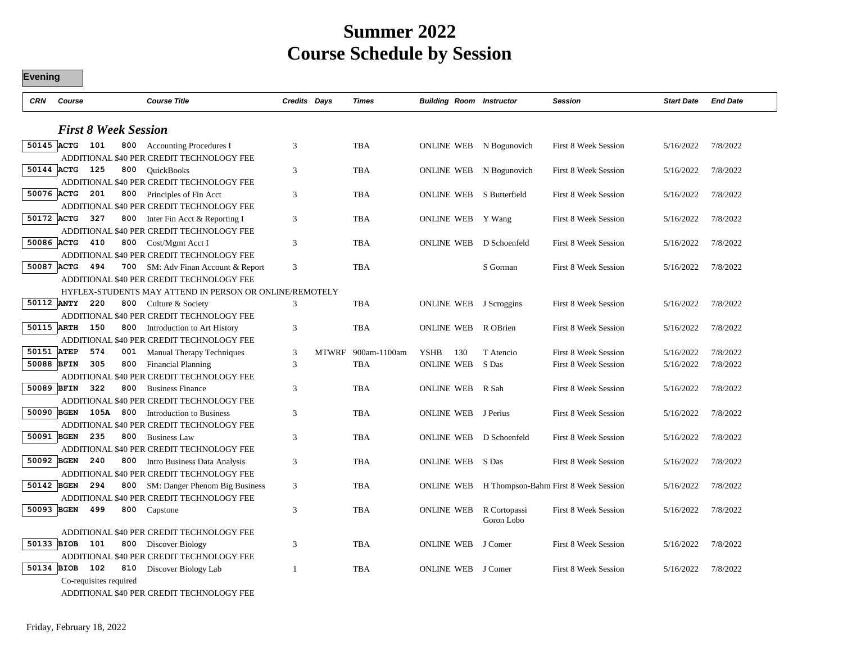## **Summer 2022 Course Schedule by Session**

| <b>CRN</b> | Course                      | <b>Course Title</b>                                                    | Credits Days |       | <b>Times</b> | <b>Building Room Instructor</b> |                            | <b>Session</b>                       | <b>Start Date</b> | <b>End Date</b> |
|------------|-----------------------------|------------------------------------------------------------------------|--------------|-------|--------------|---------------------------------|----------------------------|--------------------------------------|-------------------|-----------------|
|            | <b>First 8 Week Session</b> |                                                                        |              |       |              |                                 |                            |                                      |                   |                 |
|            | 50145 ACTG 101              | 800 Accounting Procedures I                                            | 3            |       | TBA          |                                 | ONLINE WEB N Bogunovich    | <b>First 8 Week Session</b>          | 5/16/2022         | 7/8/2022        |
|            |                             | ADDITIONAL \$40 PER CREDIT TECHNOLOGY FEE                              |              |       |              |                                 |                            |                                      |                   |                 |
|            | 50144 ACTG<br>125<br>800    | <b>OuickBooks</b>                                                      | 3            |       | <b>TBA</b>   | <b>ONLINE WEB</b>               | N Bogunovich               | First 8 Week Session                 | 5/16/2022         | 7/8/2022        |
|            |                             | ADDITIONAL \$40 PER CREDIT TECHNOLOGY FEE                              |              |       |              |                                 |                            |                                      |                   |                 |
|            | 50076 ACTG<br>201<br>800    | Principles of Fin Acct                                                 | 3            |       | <b>TBA</b>   | ONLINE WEB                      | S Butterfield              | <b>First 8 Week Session</b>          | 5/16/2022         | 7/8/2022        |
|            |                             | ADDITIONAL \$40 PER CREDIT TECHNOLOGY FEE                              |              |       |              |                                 |                            |                                      |                   |                 |
|            | 50172 ACTG<br>327<br>800    | Inter Fin Acct & Reporting I                                           | 3            |       | TBA          | ONLINE WEB Y Wang               |                            | <b>First 8 Week Session</b>          | 5/16/2022         | 7/8/2022        |
|            |                             | ADDITIONAL \$40 PER CREDIT TECHNOLOGY FEE                              |              |       |              |                                 |                            |                                      |                   |                 |
|            | 50086 ACTG<br>410           | 800 Cost/Mgmt Acct I                                                   | 3            |       | TBA          | <b>ONLINE WEB</b>               | D Schoenfeld               | <b>First 8 Week Session</b>          | 5/16/2022         | 7/8/2022        |
|            |                             | ADDITIONAL \$40 PER CREDIT TECHNOLOGY FEE                              |              |       |              |                                 |                            |                                      |                   |                 |
| 50087 ACTG | 494<br>700                  | SM: Adv Finan Account & Report                                         | 3            |       | <b>TBA</b>   |                                 | S Gorman                   | <b>First 8 Week Session</b>          | 5/16/2022         | 7/8/2022        |
|            |                             | ADDITIONAL \$40 PER CREDIT TECHNOLOGY FEE                              |              |       |              |                                 |                            |                                      |                   |                 |
|            |                             | HYFLEX-STUDENTS MAY ATTEND IN PERSON OR ONLINE/REMOTELY                |              |       |              |                                 |                            |                                      |                   |                 |
|            | 50112 ANTY<br>220<br>800    | Culture & Society                                                      | 3            |       | <b>TBA</b>   |                                 | ONLINE WEB J Scroggins     | <b>First 8 Week Session</b>          | 5/16/2022         | 7/8/2022        |
|            | 50115 ARTH                  | ADDITIONAL \$40 PER CREDIT TECHNOLOGY FEE                              |              |       |              |                                 |                            |                                      |                   |                 |
|            | 150<br>800                  | Introduction to Art History                                            | 3            |       | <b>TBA</b>   | <b>ONLINE WEB</b>               | R OBrien                   | <b>First 8 Week Session</b>          | 5/16/2022         | 7/8/2022        |
| 50151 ATEP | 574<br>001                  | ADDITIONAL \$40 PER CREDIT TECHNOLOGY FEE<br>Manual Therapy Techniques | 3            | MTWRF | 900am-1100am | <b>YSHB</b><br>130              | T Atencio                  | <b>First 8 Week Session</b>          | 5/16/2022         | 7/8/2022        |
| 50088 BFIN | 305<br>800                  | <b>Financial Planning</b>                                              | 3            |       | TBA          | <b>ONLINE WEB</b>               | S Das                      | <b>First 8 Week Session</b>          | 5/16/2022         | 7/8/2022        |
|            |                             | ADDITIONAL \$40 PER CREDIT TECHNOLOGY FEE                              |              |       |              |                                 |                            |                                      |                   |                 |
| 50089 BFIN | 322<br>800                  | <b>Business Finance</b>                                                | 3            |       | <b>TBA</b>   | ONLINE WEB                      | R Sah                      | <b>First 8 Week Session</b>          | 5/16/2022         | 7/8/2022        |
|            |                             | ADDITIONAL \$40 PER CREDIT TECHNOLOGY FEE                              |              |       |              |                                 |                            |                                      |                   |                 |
|            | 50090 BGEN<br>105A 800      | Introduction to Business                                               | 3            |       | <b>TBA</b>   | ONLINE WEB                      | J Perius                   | <b>First 8 Week Session</b>          | 5/16/2022         | 7/8/2022        |
|            |                             | ADDITIONAL \$40 PER CREDIT TECHNOLOGY FEE                              |              |       |              |                                 |                            |                                      |                   |                 |
| 50091 BGEN | 235<br>800                  | <b>Business Law</b>                                                    | 3            |       | <b>TBA</b>   | ONLINE WEB                      | D Schoenfeld               | <b>First 8 Week Session</b>          | 5/16/2022         | 7/8/2022        |
|            |                             | ADDITIONAL \$40 PER CREDIT TECHNOLOGY FEE                              |              |       |              |                                 |                            |                                      |                   |                 |
|            | 50092 BGEN<br>240<br>800    | Intro Business Data Analysis                                           | 3            |       | <b>TBA</b>   | <b>ONLINE WEB</b>               | S Das                      | <b>First 8 Week Session</b>          | 5/16/2022         | 7/8/2022        |
|            |                             | ADDITIONAL \$40 PER CREDIT TECHNOLOGY FEE                              |              |       |              |                                 |                            |                                      |                   |                 |
| 50142 BGEN | 294<br>800                  | SM: Danger Phenom Big Business                                         | 3            |       | TBA          | <b>ONLINE WEB</b>               |                            | H Thompson-Bahm First 8 Week Session | 5/16/2022         | 7/8/2022        |
|            |                             | ADDITIONAL \$40 PER CREDIT TECHNOLOGY FEE                              |              |       |              |                                 |                            |                                      |                   |                 |
| 50093 BGEN | 499<br>800                  | Capstone                                                               | 3            |       | TBA          | <b>ONLINE WEB</b>               | R Cortopassi<br>Goron Lobo | First 8 Week Session                 | 5/16/2022         | 7/8/2022        |
|            |                             | ADDITIONAL \$40 PER CREDIT TECHNOLOGY FEE                              |              |       |              |                                 |                            |                                      |                   |                 |
|            | 50133 BIOB<br>101<br>800    | Discover Biology                                                       | 3            |       | <b>TBA</b>   | <b>ONLINE WEB</b>               | J Comer                    | <b>First 8 Week Session</b>          | 5/16/2022         | 7/8/2022        |
|            |                             | ADDITIONAL \$40 PER CREDIT TECHNOLOGY FEE                              |              |       |              |                                 |                            |                                      |                   |                 |
| 50134 BIOB | 102<br>810                  | Discover Biology Lab                                                   | $\mathbf{1}$ |       | <b>TBA</b>   | <b>ONLINE WEB</b>               | J Comer                    | First 8 Week Session                 | 5/16/2022         | 7/8/2022        |
|            | Co-requisites required      |                                                                        |              |       |              |                                 |                            |                                      |                   |                 |

ADDITIONAL \$40 PER CREDIT TECHNOLOGY FEE

**Evening**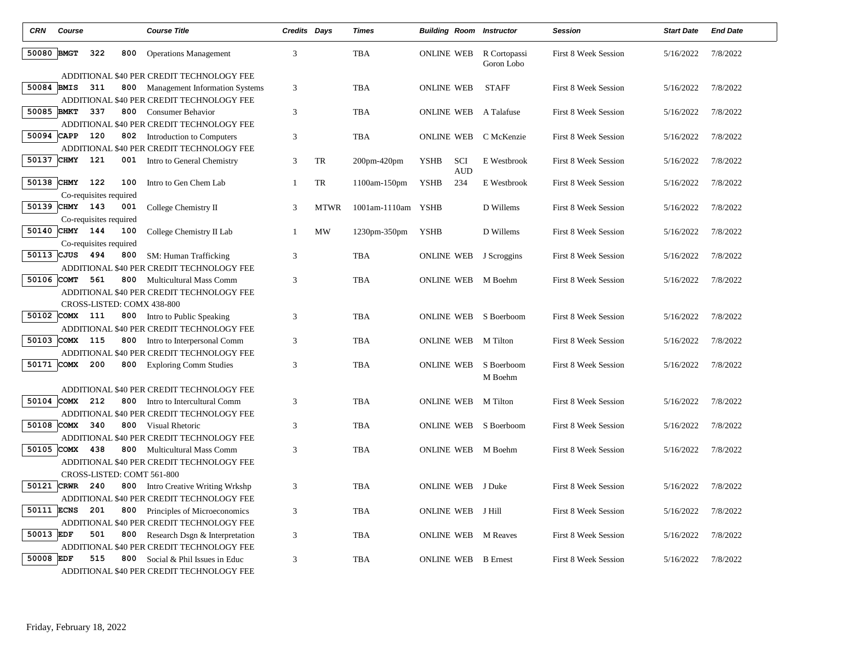| <b>CRN</b> | Course         |                        |     | <b>Course Title</b>                                                            | Credits Days   |             | <b>Times</b>       |                   |            | <b>Building Room Instructor</b>              | <b>Session</b>              | <b>Start Date</b> | <b>End Date</b> |
|------------|----------------|------------------------|-----|--------------------------------------------------------------------------------|----------------|-------------|--------------------|-------------------|------------|----------------------------------------------|-----------------------------|-------------------|-----------------|
| 50080 BMGT |                | 322                    | 800 | <b>Operations Management</b>                                                   | 3              |             | TBA                |                   |            | <b>ONLINE WEB</b> R Cortopassi<br>Goron Lobo | <b>First 8 Week Session</b> | 5/16/2022         | 7/8/2022        |
|            |                |                        |     | ADDITIONAL \$40 PER CREDIT TECHNOLOGY FEE                                      |                |             |                    |                   |            |                                              |                             |                   |                 |
| 50084 BMIS |                | 311                    |     | 800 Management Information Systems                                             | $\mathfrak{Z}$ |             | <b>TBA</b>         | <b>ONLINE WEB</b> |            | <b>STAFF</b>                                 | First 8 Week Session        | 5/16/2022         | 7/8/2022        |
| 50085 BMKT |                | 337                    |     | ADDITIONAL \$40 PER CREDIT TECHNOLOGY FEE                                      |                |             |                    |                   |            |                                              |                             |                   |                 |
|            |                |                        |     | 800 Consumer Behavior<br>ADDITIONAL \$40 PER CREDIT TECHNOLOGY FEE             | 3              |             | TBA                | <b>ONLINE WEB</b> |            | A Talafuse                                   | First 8 Week Session        | 5/16/2022         | 7/8/2022        |
| 50094 CAPP |                | 120                    |     | 802 Introduction to Computers                                                  | 3              |             | <b>TBA</b>         | <b>ONLINE WEB</b> |            | C McKenzie                                   | <b>First 8 Week Session</b> | 5/16/2022         | 7/8/2022        |
|            |                |                        |     | ADDITIONAL \$40 PER CREDIT TECHNOLOGY FEE                                      |                |             |                    |                   |            |                                              |                             |                   |                 |
|            | 50137 CHMY 121 |                        |     | 001 Intro to General Chemistry                                                 | 3              | TR          | 200pm-420pm        | <b>YSHB</b>       | <b>SCI</b> | E Westbrook                                  | First 8 Week Session        | 5/16/2022         | 7/8/2022        |
|            |                |                        |     |                                                                                |                |             |                    |                   | <b>AUD</b> |                                              |                             |                   |                 |
|            | 50138 CHMY 122 |                        | 100 | Intro to Gen Chem Lab                                                          | $\mathbf{1}$   | TR          | 1100am-150pm       | <b>YSHB</b>       | 234        | E Westbrook                                  | First 8 Week Session        | 5/16/2022         | 7/8/2022        |
|            |                | Co-requisites required |     |                                                                                |                |             |                    |                   |            |                                              |                             |                   |                 |
|            | 50139 CHMY 143 |                        | 001 | College Chemistry II                                                           | 3              | <b>MTWR</b> | 1001am-1110am YSHB |                   |            | D Willems                                    | First 8 Week Session        | 5/16/2022         | 7/8/2022        |
|            |                | Co-requisites required |     |                                                                                |                |             |                    |                   |            |                                              |                             |                   |                 |
|            | 50140 CHMY 144 |                        | 100 | College Chemistry II Lab                                                       | -1             | MW          | 1230pm-350pm       | <b>YSHB</b>       |            | D Willems                                    | <b>First 8 Week Session</b> | 5/16/2022         | 7/8/2022        |
|            |                | Co-requisites required |     |                                                                                |                |             |                    |                   |            |                                              |                             |                   |                 |
|            | 50113 CJUS 494 |                        | 800 | SM: Human Trafficking                                                          | 3              |             | <b>TBA</b>         |                   |            | ONLINE WEB J Scroggins                       | First 8 Week Session        | 5/16/2022         | 7/8/2022        |
| 50106 COMT |                | 561                    | 800 | ADDITIONAL \$40 PER CREDIT TECHNOLOGY FEE                                      |                |             |                    |                   |            |                                              |                             |                   |                 |
|            |                |                        |     | <b>Multicultural Mass Comm</b><br>ADDITIONAL \$40 PER CREDIT TECHNOLOGY FEE    | 3              |             | <b>TBA</b>         | <b>ONLINE WEB</b> |            | M Boehm                                      | First 8 Week Session        | 5/16/2022         | 7/8/2022        |
|            |                |                        |     | CROSS-LISTED: COMX 438-800                                                     |                |             |                    |                   |            |                                              |                             |                   |                 |
|            | 50102 COMX 111 |                        |     | 800 Intro to Public Speaking                                                   | 3              |             | TBA                | <b>ONLINE WEB</b> |            | S Boerboom                                   | <b>First 8 Week Session</b> | 5/16/2022         | 7/8/2022        |
|            |                |                        |     | ADDITIONAL \$40 PER CREDIT TECHNOLOGY FEE                                      |                |             |                    |                   |            |                                              |                             |                   |                 |
|            | 50103 COMX 115 |                        |     | 800 Intro to Interpersonal Comm                                                | 3              |             | <b>TBA</b>         | <b>ONLINE WEB</b> |            | M Tilton                                     | First 8 Week Session        | 5/16/2022         | 7/8/2022        |
|            |                |                        |     | ADDITIONAL \$40 PER CREDIT TECHNOLOGY FEE                                      |                |             |                    |                   |            |                                              |                             |                   |                 |
| 50171      | <b>COMX</b>    | 200                    | 800 | <b>Exploring Comm Studies</b>                                                  | 3              |             | <b>TBA</b>         | <b>ONLINE WEB</b> |            | S Boerboom                                   | First 8 Week Session        | 5/16/2022         | 7/8/2022        |
|            |                |                        |     |                                                                                |                |             |                    |                   |            | M Boehm                                      |                             |                   |                 |
|            |                |                        |     | ADDITIONAL \$40 PER CREDIT TECHNOLOGY FEE                                      |                |             |                    |                   |            |                                              |                             |                   |                 |
| 50104 COMX |                | 212                    | 800 | Intro to Intercultural Comm                                                    | $\mathfrak{Z}$ |             | <b>TBA</b>         | <b>ONLINE WEB</b> |            | M Tilton                                     | First 8 Week Session        | 5/16/2022         | 7/8/2022        |
|            |                |                        |     | ADDITIONAL \$40 PER CREDIT TECHNOLOGY FEE                                      |                |             |                    |                   |            |                                              |                             |                   |                 |
|            | 50108 COMX 340 |                        |     | 800 Visual Rhetoric                                                            | 3              |             | <b>TBA</b>         | ONLINE WEB        |            | S Boerboom                                   | <b>First 8 Week Session</b> | 5/16/2022         | 7/8/2022        |
|            |                |                        |     | ADDITIONAL \$40 PER CREDIT TECHNOLOGY FEE                                      |                |             |                    |                   |            |                                              |                             |                   |                 |
| 50105 COMX |                | 438                    |     | <b>800</b> Multicultural Mass Comm                                             | 3              |             | <b>TBA</b>         | ONLINE WEB        |            | M Boehm                                      | <b>First 8 Week Session</b> | 5/16/2022         | 7/8/2022        |
|            |                |                        |     | ADDITIONAL \$40 PER CREDIT TECHNOLOGY FEE                                      |                |             |                    |                   |            |                                              |                             |                   |                 |
| 50121      | <b>CRWR</b>    | 240                    |     | CROSS-LISTED: COMT 561-800                                                     | 3              |             | <b>TBA</b>         | ONLINE WEB J Duke |            |                                              | First 8 Week Session        | 5/16/2022         | 7/8/2022        |
|            |                |                        |     | 800 Intro Creative Writing Wrkshp<br>ADDITIONAL \$40 PER CREDIT TECHNOLOGY FEE |                |             |                    |                   |            |                                              |                             |                   |                 |
| 50111 ECNS |                | 201                    |     | 800 Principles of Microeconomics                                               | 3              |             | <b>TBA</b>         | <b>ONLINE WEB</b> |            | J Hill                                       | First 8 Week Session        | 5/16/2022         | 7/8/2022        |
|            |                |                        |     | ADDITIONAL \$40 PER CREDIT TECHNOLOGY FEE                                      |                |             |                    |                   |            |                                              |                             |                   |                 |
| 50013 EDF  |                | 501                    | 800 | Research Dsgn & Interpretation                                                 | 3              |             | <b>TBA</b>         |                   |            | <b>ONLINE WEB</b> M Reaves                   | First 8 Week Session        | 5/16/2022         | 7/8/2022        |
|            |                |                        |     | ADDITIONAL \$40 PER CREDIT TECHNOLOGY FEE                                      |                |             |                    |                   |            |                                              |                             |                   |                 |
| 50008 EDF  |                | 515                    |     | 800 Social & Phil Issues in Educ                                               | 3              |             | <b>TBA</b>         | ONLINE WEB        |            | <b>B</b> Ernest                              | <b>First 8 Week Session</b> | 5/16/2022         | 7/8/2022        |
|            |                |                        |     | ADDITIONAL \$40 PER CREDIT TECHNOLOGY FEE                                      |                |             |                    |                   |            |                                              |                             |                   |                 |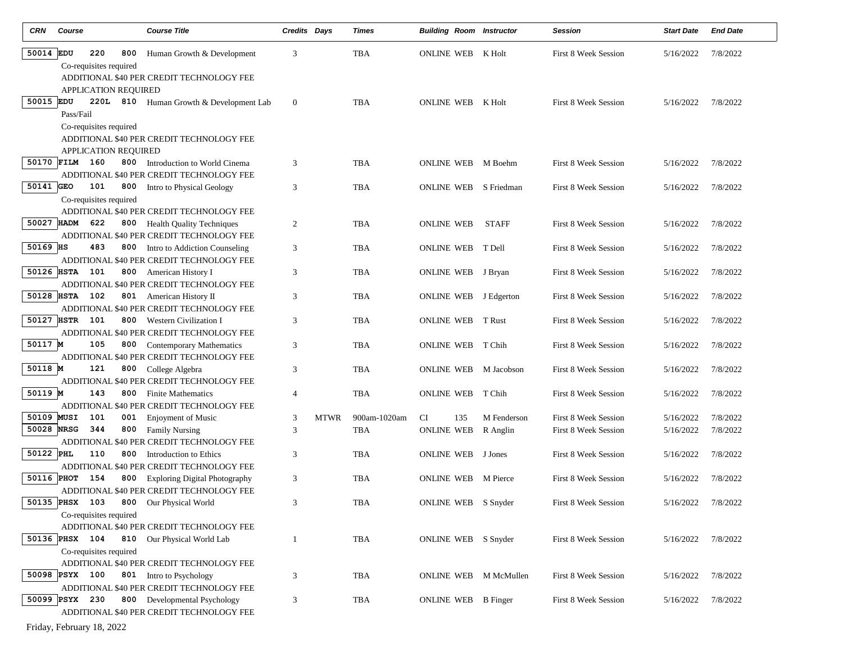| CRN        | Course                                | <b>Course Title</b>                                                       | Credits Days   |             | Times        | <b>Building Room Instructor</b> |              | <b>Session</b>              | <b>Start Date</b> | <b>End Date</b> |
|------------|---------------------------------------|---------------------------------------------------------------------------|----------------|-------------|--------------|---------------------------------|--------------|-----------------------------|-------------------|-----------------|
| 50014 EDU  | 220<br>800                            | Human Growth & Development                                                | 3              |             | <b>TBA</b>   | ONLINE WEB                      | K Holt       | First 8 Week Session        | 5/16/2022         | 7/8/2022        |
|            | Co-requisites required                |                                                                           |                |             |              |                                 |              |                             |                   |                 |
|            |                                       | ADDITIONAL \$40 PER CREDIT TECHNOLOGY FEE                                 |                |             |              |                                 |              |                             |                   |                 |
|            | APPLICATION REQUIRED                  |                                                                           |                |             |              |                                 |              |                             |                   |                 |
| 50015 EDU  |                                       | 220L 810 Human Growth & Development Lab                                   | $\mathbf{0}$   |             | TBA          | <b>ONLINE WEB K Holt</b>        |              | <b>First 8 Week Session</b> | 5/16/2022         | 7/8/2022        |
|            | Pass/Fail                             |                                                                           |                |             |              |                                 |              |                             |                   |                 |
|            | Co-requisites required                |                                                                           |                |             |              |                                 |              |                             |                   |                 |
|            |                                       | ADDITIONAL \$40 PER CREDIT TECHNOLOGY FEE                                 |                |             |              |                                 |              |                             |                   |                 |
|            | APPLICATION REQUIRED                  |                                                                           |                |             |              |                                 |              |                             |                   |                 |
|            | 50170 FILM 160<br>800                 | Introduction to World Cinema<br>ADDITIONAL \$40 PER CREDIT TECHNOLOGY FEE | 3              |             | TBA          | ONLINE WEB M Boehm              |              | <b>First 8 Week Session</b> | 5/16/2022         | 7/8/2022        |
| 50141 GEO  | 101<br>800                            | Intro to Physical Geology                                                 | 3              |             | <b>TBA</b>   | ONLINE WEB                      | S Friedman   | <b>First 8 Week Session</b> | 5/16/2022         | 7/8/2022        |
|            | Co-requisites required                |                                                                           |                |             |              |                                 |              |                             |                   |                 |
|            |                                       | ADDITIONAL \$40 PER CREDIT TECHNOLOGY FEE                                 |                |             |              |                                 |              |                             |                   |                 |
|            | 50027 HADM<br>622                     | 800 Health Quality Techniques                                             | $\overline{2}$ |             | TBA          | <b>ONLINE WEB</b>               | <b>STAFF</b> | <b>First 8 Week Session</b> | 5/16/2022         | 7/8/2022        |
|            |                                       | ADDITIONAL \$40 PER CREDIT TECHNOLOGY FEE                                 |                |             |              |                                 |              |                             |                   |                 |
| 50169 HS   | 483                                   | 800 Intro to Addiction Counseling                                         | 3              |             | <b>TBA</b>   | ONLINE WEB                      | T Dell       | First 8 Week Session        | 5/16/2022         | 7/8/2022        |
|            |                                       | ADDITIONAL \$40 PER CREDIT TECHNOLOGY FEE                                 |                |             |              |                                 |              |                             |                   |                 |
|            | 50126 HSTA 101                        | 800 American History I                                                    | 3              |             | TBA          | ONLINE WEB J Bryan              |              | First 8 Week Session        | 5/16/2022         | 7/8/2022        |
|            |                                       | ADDITIONAL \$40 PER CREDIT TECHNOLOGY FEE                                 |                |             |              |                                 |              |                             |                   |                 |
|            | 50128 HSTA 102                        | <b>801</b> American History II                                            | 3              |             | <b>TBA</b>   | ONLINE WEB J Edgerton           |              | First 8 Week Session        | 5/16/2022         | 7/8/2022        |
|            |                                       | ADDITIONAL \$40 PER CREDIT TECHNOLOGY FEE                                 |                |             |              |                                 |              |                             |                   |                 |
|            | 50127 HSTR 101                        | 800 Western Civilization I                                                | 3              |             | TBA          | <b>ONLINE WEB</b>               | T Rust       | <b>First 8 Week Session</b> | 5/16/2022         | 7/8/2022        |
|            |                                       | ADDITIONAL \$40 PER CREDIT TECHNOLOGY FEE                                 |                |             |              |                                 |              |                             |                   |                 |
| 50117 M    | 105                                   | 800 Contemporary Mathematics<br>ADDITIONAL \$40 PER CREDIT TECHNOLOGY FEE | 3              |             | <b>TBA</b>   | ONLINE WEB                      | T Chih       | <b>First 8 Week Session</b> | 5/16/2022         | 7/8/2022        |
| 50118 M    | 121                                   | 800 College Algebra                                                       | 3              |             | <b>TBA</b>   | ONLINE WEB                      | M Jacobson   | First 8 Week Session        | 5/16/2022         | 7/8/2022        |
|            |                                       | ADDITIONAL \$40 PER CREDIT TECHNOLOGY FEE                                 |                |             |              |                                 |              |                             |                   |                 |
| 50119 M    | 143                                   | 800 Finite Mathematics                                                    | $\overline{4}$ |             | <b>TBA</b>   | <b>ONLINE WEB</b>               | T Chih       | First 8 Week Session        | 5/16/2022         | 7/8/2022        |
|            |                                       | ADDITIONAL \$40 PER CREDIT TECHNOLOGY FEE                                 |                |             |              |                                 |              |                             |                   |                 |
| 50109 MUSI | 101<br>001                            | <b>Enjoyment of Music</b>                                                 | 3              | <b>MTWR</b> | 900am-1020am | <b>CI</b><br>135                | M Fenderson  | <b>First 8 Week Session</b> | 5/16/2022         | 7/8/2022        |
| 50028 NRSG | 344<br>800                            | <b>Family Nursing</b>                                                     | 3              |             | <b>TBA</b>   | <b>ONLINE WEB</b>               | R Anglin     | First 8 Week Session        | 5/16/2022         | 7/8/2022        |
|            |                                       | ADDITIONAL \$40 PER CREDIT TECHNOLOGY FEE                                 |                |             |              |                                 |              |                             |                   |                 |
| 50122 PHL  | 110                                   | 800 Introduction to Ethics                                                | 3              |             | <b>TBA</b>   | ONLINE WEB J Jones              |              | <b>First 8 Week Session</b> | 5/16/2022         | 7/8/2022        |
|            |                                       | ADDITIONAL \$40 PER CREDIT TECHNOLOGY FEE                                 |                |             |              |                                 |              |                             |                   |                 |
| 50116 PHOT | 154<br>800                            | <b>Exploring Digital Photography</b>                                      | 3              |             | TBA          | <b>ONLINE WEB</b> M Pierce      |              | <b>First 8 Week Session</b> | 5/16/2022         | 7/8/2022        |
|            |                                       | ADDITIONAL \$40 PER CREDIT TECHNOLOGY FEE                                 |                |             |              |                                 |              |                             |                   |                 |
|            | 50135 PHSX 103 800 Our Physical World |                                                                           | $\mathfrak{Z}$ |             | TBA          | ONLINE WEB S Snyder             |              | First 8 Week Session        | 5/16/2022         | 7/8/2022        |
|            | Co-requisites required                | ADDITIONAL \$40 PER CREDIT TECHNOLOGY FEE                                 |                |             |              |                                 |              |                             |                   |                 |
|            | 50136 PHSX 104                        | 810 Our Physical World Lab                                                | 1              |             | TBA          | ONLINE WEB S Snyder             |              | First 8 Week Session        | 5/16/2022         | 7/8/2022        |
|            | Co-requisites required                |                                                                           |                |             |              |                                 |              |                             |                   |                 |
|            |                                       | ADDITIONAL \$40 PER CREDIT TECHNOLOGY FEE                                 |                |             |              |                                 |              |                             |                   |                 |
|            | 50098 PSYX 100                        | 801 Intro to Psychology                                                   | 3              |             | TBA          | ONLINE WEB M McMullen           |              | First 8 Week Session        | 5/16/2022         | 7/8/2022        |
|            |                                       | ADDITIONAL \$40 PER CREDIT TECHNOLOGY FEE                                 |                |             |              |                                 |              |                             |                   |                 |
|            | 50099 PSYX 230                        | 800 Developmental Psychology                                              | 3              |             | TBA          | ONLINE WEB B Finger             |              | First 8 Week Session        | 5/16/2022         | 7/8/2022        |
|            |                                       | ADDITIONAL \$40 PER CREDIT TECHNOLOGY FEE                                 |                |             |              |                                 |              |                             |                   |                 |

Friday, February 18, 2022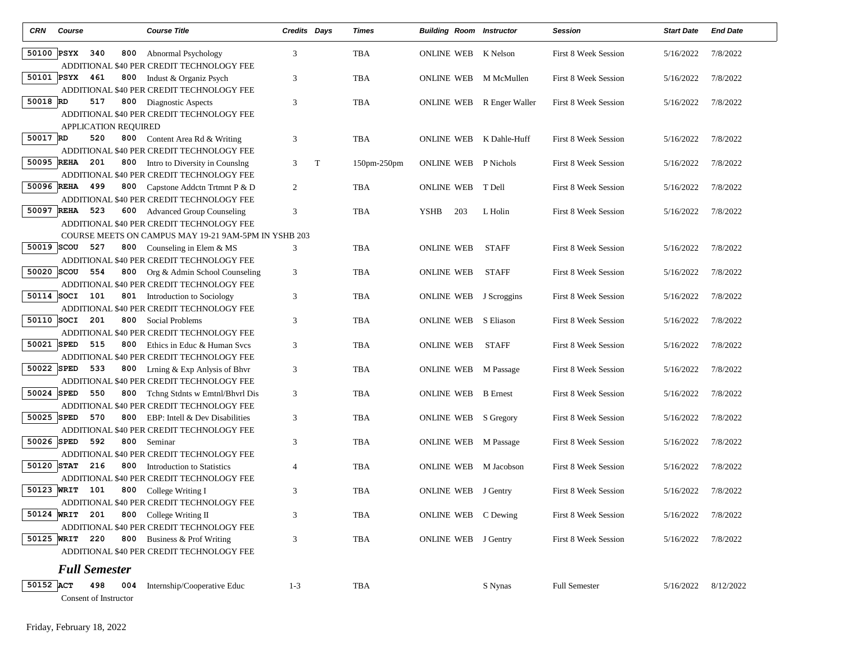| <b>CRN</b>   | Course                              | <b>Course Title</b>                                                                    | Credits Days   |   | Times              | <b>Building Room Instructor</b> |                 | <b>Session</b>              | <b>Start Date</b> | <b>End Date</b> |
|--------------|-------------------------------------|----------------------------------------------------------------------------------------|----------------|---|--------------------|---------------------------------|-----------------|-----------------------------|-------------------|-----------------|
|              | 50100 PSYX<br>340<br>800            | Abnormal Psychology<br>ADDITIONAL \$40 PER CREDIT TECHNOLOGY FEE                       | 3              |   | TBA                | <b>ONLINE WEB</b>               | K Nelson        | First 8 Week Session        | 5/16/2022         | 7/8/2022        |
| 50101 PSYX   | 461                                 | <b>800</b> Indust & Organiz Psych<br>ADDITIONAL \$40 PER CREDIT TECHNOLOGY FEE         | 3              |   | TBA                | <b>ONLINE WEB</b>               | M McMullen      | First 8 Week Session        | 5/16/2022         | 7/8/2022        |
| 50018 RD     | 517                                 | 800 Diagnostic Aspects<br>ADDITIONAL \$40 PER CREDIT TECHNOLOGY FEE                    | 3              |   | <b>TBA</b>         | ONLINE WEB                      | R Enger Waller  | <b>First 8 Week Session</b> | 5/16/2022         | 7/8/2022        |
|              | <b>APPLICATION REQUIRED</b>         |                                                                                        |                |   |                    |                                 |                 |                             |                   |                 |
| 50017 RD     | 520                                 | <b>800</b> Content Area Rd & Writing<br>ADDITIONAL \$40 PER CREDIT TECHNOLOGY FEE      | 3              |   | TBA                | <b>ONLINE WEB</b>               | K Dahle-Huff    | <b>First 8 Week Session</b> | 5/16/2022         | 7/8/2022        |
| 50095 REHA   | 201<br>800                          | Intro to Diversity in Counslng<br>ADDITIONAL \$40 PER CREDIT TECHNOLOGY FEE            | 3              | T | $150$ pm- $250$ pm | <b>ONLINE WEB</b>               | P Nichols       | <b>First 8 Week Session</b> | 5/16/2022         | 7/8/2022        |
| 50096 REHA   | 499                                 | 800 Capstone Addctn Trtmnt P & D<br>ADDITIONAL \$40 PER CREDIT TECHNOLOGY FEE          | $\overline{2}$ |   | TBA                | <b>ONLINE WEB</b>               | T Dell          | First 8 Week Session        | 5/16/2022         | 7/8/2022        |
| 50097 REHA   | 523                                 | 600 Advanced Group Counseling<br>ADDITIONAL \$40 PER CREDIT TECHNOLOGY FEE             | 3              |   | <b>TBA</b>         | 203<br><b>YSHB</b>              | L Holin         | <b>First 8 Week Session</b> | 5/16/2022         | 7/8/2022        |
|              |                                     | COURSE MEETS ON CAMPUS MAY 19-21 9AM-5PM IN YSHB 203                                   |                |   |                    |                                 |                 |                             |                   |                 |
| 50019 SCOU   | 527                                 | 800 Counseling in Elem & MS<br>ADDITIONAL \$40 PER CREDIT TECHNOLOGY FEE               | 3              |   | TBA                | <b>ONLINE WEB</b>               | <b>STAFF</b>    | <b>First 8 Week Session</b> | 5/16/2022         | 7/8/2022        |
| 50020 SCOU   | 554                                 | 800 Org & Admin School Counseling<br>ADDITIONAL \$40 PER CREDIT TECHNOLOGY FEE         | 3              |   | TBA                | <b>ONLINE WEB</b>               | <b>STAFF</b>    | <b>First 8 Week Session</b> | 5/16/2022         | 7/8/2022        |
| $50114$ SOCI | 101                                 | 801 Introduction to Sociology                                                          | $\mathfrak{Z}$ |   | TBA                | ONLINE WEB J Scroggins          |                 | First 8 Week Session        | 5/16/2022         | 7/8/2022        |
| $50110$ SOCI | 201                                 | ADDITIONAL \$40 PER CREDIT TECHNOLOGY FEE<br>800 Social Problems                       | 3              |   | TBA                | <b>ONLINE WEB</b>               | S Eliason       | <b>First 8 Week Session</b> | 5/16/2022         | 7/8/2022        |
| 50021 SPED   | 515<br>800                          | ADDITIONAL \$40 PER CREDIT TECHNOLOGY FEE<br>Ethics in Educ & Human Svcs               | 3              |   | TBA                | <b>ONLINE WEB</b>               | <b>STAFF</b>    | <b>First 8 Week Session</b> | 5/16/2022         | 7/8/2022        |
| 50022 SPED   | 533                                 | ADDITIONAL \$40 PER CREDIT TECHNOLOGY FEE<br>800 Lrning & Exp Anlysis of Bhvr          | 3              |   | <b>TBA</b>         | <b>ONLINE WEB</b>               | M Passage       | <b>First 8 Week Session</b> | 5/16/2022         | 7/8/2022        |
| 50024 SPED   | 550                                 | ADDITIONAL \$40 PER CREDIT TECHNOLOGY FEE<br><b>800</b> Tchng Stdnts w Emtnl/Bhvrl Dis | 3              |   | <b>TBA</b>         | ONLINE WEB                      | <b>B</b> Ernest | <b>First 8 Week Session</b> | 5/16/2022         | 7/8/2022        |
| 50025 SPED   | 570<br>800                          | ADDITIONAL \$40 PER CREDIT TECHNOLOGY FEE<br>EBP: Intell & Dev Disabilities            | 3              |   | TBA                | <b>ONLINE WEB</b>               | S Gregory       | First 8 Week Session        | 5/16/2022         | 7/8/2022        |
| 50026 SPED   | 592<br>800                          | ADDITIONAL \$40 PER CREDIT TECHNOLOGY FEE<br>Seminar                                   | 3              |   | TBA                | ONLINE WEB                      | M Passage       | <b>First 8 Week Session</b> | 5/16/2022         | 7/8/2022        |
| 50120 STAT   | 216<br>800                          | ADDITIONAL \$40 PER CREDIT TECHNOLOGY FEE<br>Introduction to Statistics                | $\overline{4}$ |   | <b>TBA</b>         | <b>ONLINE WEB</b>               | M Jacobson      | <b>First 8 Week Session</b> | 5/16/2022         | 7/8/2022        |
| 50123 WRIT   | 101                                 | ADDITIONAL \$40 PER CREDIT TECHNOLOGY FEE<br>800 College Writing I                     | 3              |   | <b>TBA</b>         | <b>ONLINE WEB</b> J Gentry      |                 | <b>First 8 Week Session</b> | 5/16/2022         | 7/8/2022        |
| 50124 WRIT   | 201                                 | ADDITIONAL \$40 PER CREDIT TECHNOLOGY FEE<br>800 College Writing II                    | 3              |   | <b>TBA</b>         | ONLINE WEB C Dewing             |                 | First 8 Week Session        | 5/16/2022         | 7/8/2022        |
| 50125 WRIT   | 220<br>800                          | ADDITIONAL \$40 PER CREDIT TECHNOLOGY FEE<br>Business & Prof Writing                   | 3              |   | TBA                | ONLINE WEB J Gentry             |                 | First 8 Week Session        | 5/16/2022         | 7/8/2022        |
|              |                                     | ADDITIONAL \$40 PER CREDIT TECHNOLOGY FEE                                              |                |   |                    |                                 |                 |                             |                   |                 |
|              | <b>Full Semester</b>                |                                                                                        |                |   |                    |                                 |                 |                             |                   |                 |
| 50152 ACT    | 498<br>004<br>Consent of Instructor | Internship/Cooperative Educ                                                            | $1 - 3$        |   | TBA                |                                 | S Nynas         | <b>Full Semester</b>        | 5/16/2022         | 8/12/2022       |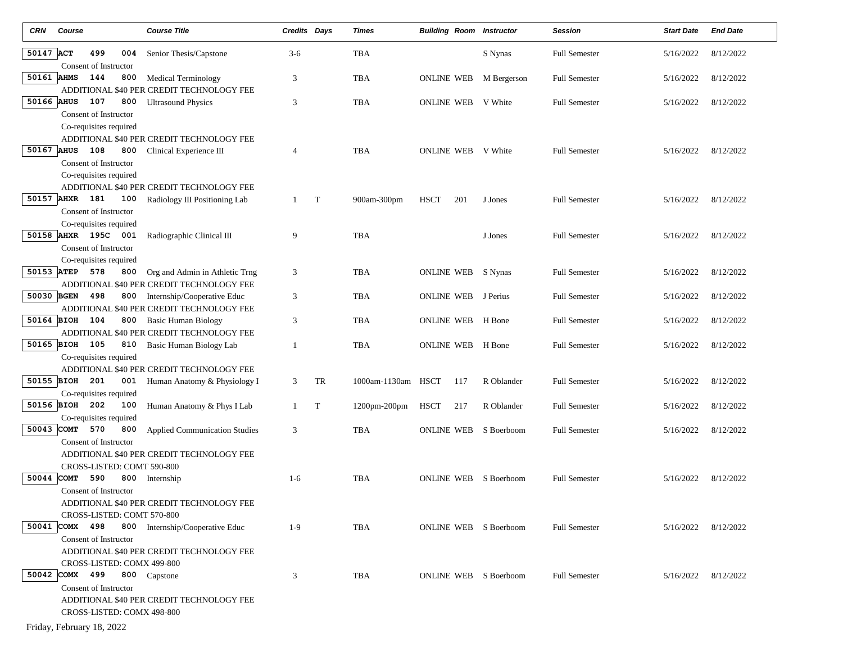| <b>CRN</b> | Course                                              | <b>Course Title</b>                                                           | <b>Credits Days</b> |    | Times         | <b>Building Room Instructor</b> |             | <b>Session</b>       | <b>Start Date</b>   | <b>End Date</b> |
|------------|-----------------------------------------------------|-------------------------------------------------------------------------------|---------------------|----|---------------|---------------------------------|-------------|----------------------|---------------------|-----------------|
| 50147 ACT  | 499<br>004<br>Consent of Instructor                 | Senior Thesis/Capstone                                                        | $3-6$               |    | <b>TBA</b>    |                                 | S Nynas     | <b>Full Semester</b> | 5/16/2022           | 8/12/2022       |
| 50161 AHMS | 144<br>800                                          | <b>Medical Terminology</b><br>ADDITIONAL \$40 PER CREDIT TECHNOLOGY FEE       | 3                   |    | TBA           | ONLINE WEB                      | M Bergerson | <b>Full Semester</b> | 5/16/2022           | 8/12/2022       |
| 50166 AHUS | 107<br>800<br>Consent of Instructor                 | <b>Ultrasound Physics</b>                                                     | 3                   |    | <b>TBA</b>    | ONLINE WEB V White              |             | <b>Full Semester</b> | 5/16/2022           | 8/12/2022       |
|            | Co-requisites required                              | ADDITIONAL \$40 PER CREDIT TECHNOLOGY FEE                                     |                     |    |               |                                 |             |                      |                     |                 |
|            | 50167 AHUS 108<br>800<br>Consent of Instructor      | Clinical Experience III                                                       | 4                   |    | <b>TBA</b>    | ONLINE WEB V White              |             | <b>Full Semester</b> | 5/16/2022           | 8/12/2022       |
|            | Co-requisites required                              | ADDITIONAL \$40 PER CREDIT TECHNOLOGY FEE                                     |                     |    |               |                                 |             |                      |                     |                 |
|            | 50157 AHXR 181<br>100<br>Consent of Instructor      | Radiology III Positioning Lab                                                 | 1                   | T  | 900am-300pm   | <b>HSCT</b><br>201              | J Jones     | <b>Full Semester</b> | 5/16/2022           | 8/12/2022       |
|            | Co-requisites required<br>50158 AHXR 195C 001       | Radiographic Clinical III                                                     | 9                   |    | TBA           |                                 | J Jones     | <b>Full Semester</b> | 5/16/2022           | 8/12/2022       |
|            | Consent of Instructor<br>Co-requisites required     |                                                                               |                     |    |               |                                 |             |                      |                     |                 |
|            | 50153 ATEP 578<br>800                               | Org and Admin in Athletic Trng<br>ADDITIONAL \$40 PER CREDIT TECHNOLOGY FEE   | 3                   |    | TBA           | ONLINE WEB S Nynas              |             | <b>Full Semester</b> | 5/16/2022           | 8/12/2022       |
| 50030 BGEN | 498<br>800                                          | Internship/Cooperative Educ<br>ADDITIONAL \$40 PER CREDIT TECHNOLOGY FEE      | 3                   |    | <b>TBA</b>    | <b>ONLINE WEB</b> J Perius      |             | <b>Full Semester</b> | 5/16/2022           | 8/12/2022       |
|            | 50164 BIOH 104<br>800                               | Basic Human Biology<br>ADDITIONAL \$40 PER CREDIT TECHNOLOGY FEE              | 3                   |    | TBA           | <b>ONLINE WEB</b>               | H Bone      | <b>Full Semester</b> | 5/16/2022           | 8/12/2022       |
|            | 50165 BIOH 105<br>810<br>Co-requisites required     | Basic Human Biology Lab                                                       | $\overline{1}$      |    | TBA           | ONLINE WEB                      | H Bone      | <b>Full Semester</b> | 5/16/2022           | 8/12/2022       |
|            | 50155 BIOH 201                                      | ADDITIONAL \$40 PER CREDIT TECHNOLOGY FEE<br>001 Human Anatomy & Physiology I | 3                   | TR | 1000am-1130am | HSCT<br>117                     | R Oblander  | <b>Full Semester</b> | 5/16/2022           | 8/12/2022       |
|            | Co-requisites required<br>50156 BIOH 202<br>100     | Human Anatomy & Phys I Lab                                                    | 1                   | T  | 1200pm-200pm  | HSCT<br>217                     | R Oblander  | <b>Full Semester</b> | 5/16/2022           | 8/12/2022       |
|            | Co-requisites required<br>50043 COMT 570<br>800     | <b>Applied Communication Studies</b>                                          | 3                   |    | <b>TBA</b>    | <b>ONLINE WEB</b>               | S Boerboom  | <b>Full Semester</b> | 5/16/2022           | 8/12/2022       |
|            | Consent of Instructor                               | ADDITIONAL \$40 PER CREDIT TECHNOLOGY FEE                                     |                     |    |               |                                 |             |                      |                     |                 |
| 50044 COMT | CROSS-LISTED: COMT 590-800<br>590<br>800            | Internship                                                                    | $1-6$               |    | TBA           | ONLINE WEB                      | S Boerboom  | <b>Full Semester</b> | 5/16/2022           | 8/12/2022       |
|            | Consent of Instructor<br>CROSS-LISTED: COMT 570-800 | ADDITIONAL \$40 PER CREDIT TECHNOLOGY FEE                                     |                     |    |               |                                 |             |                      |                     |                 |
|            | 50041 COMX 498<br>Consent of Instructor             | 800 Internship/Cooperative Educ                                               | $1-9$               |    | TBA           | ONLINE WEB S Boerboom           |             | <b>Full Semester</b> | 5/16/2022 8/12/2022 |                 |
|            | CROSS-LISTED: COMX 499-800                          | ADDITIONAL \$40 PER CREDIT TECHNOLOGY FEE                                     |                     |    |               |                                 |             |                      |                     |                 |
|            | 50042 COMX 499<br>Consent of Instructor             | 800 Capstone                                                                  | 3                   |    | TBA           | ONLINE WEB S Boerboom           |             | <b>Full Semester</b> | 5/16/2022           | 8/12/2022       |
|            | CROSS-LISTED: COMX 498-800                          | ADDITIONAL \$40 PER CREDIT TECHNOLOGY FEE                                     |                     |    |               |                                 |             |                      |                     |                 |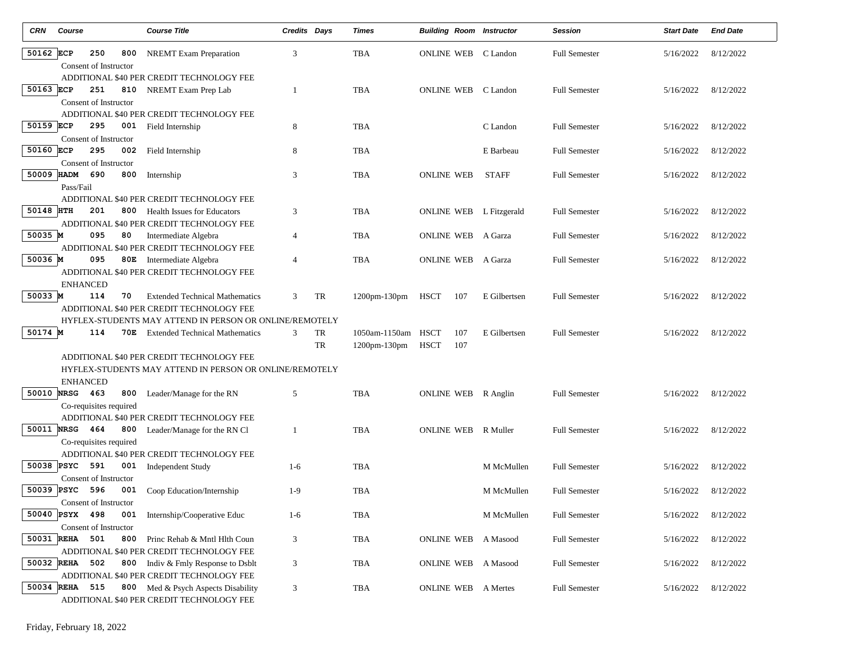| CRN        | Course                                    |                        | <b>Course Title</b>                                               | <b>Credits Days</b> |    | Times               | <b>Building Room Instructor</b> |              | <b>Session</b>       | <b>Start Date</b> | <b>End Date</b> |  |
|------------|-------------------------------------------|------------------------|-------------------------------------------------------------------|---------------------|----|---------------------|---------------------------------|--------------|----------------------|-------------------|-----------------|--|
| 50162 ECP  |                                           | 250<br>800             | <b>NREMT</b> Exam Preparation                                     | 3                   |    | <b>TBA</b>          | <b>ONLINE WEB</b>               | C Landon     | <b>Full Semester</b> | 5/16/2022         | 8/12/2022       |  |
|            |                                           | Consent of Instructor  |                                                                   |                     |    |                     |                                 |              |                      |                   |                 |  |
|            |                                           |                        | ADDITIONAL \$40 PER CREDIT TECHNOLOGY FEE                         |                     |    |                     |                                 |              |                      |                   |                 |  |
| 50163 ECP  |                                           | 251<br>810             | NREMT Exam Prep Lab                                               | 1                   |    | <b>TBA</b>          | ONLINE WEB C Landon             |              | <b>Full Semester</b> | 5/16/2022         | 8/12/2022       |  |
|            |                                           | Consent of Instructor  |                                                                   |                     |    |                     |                                 |              |                      |                   |                 |  |
|            |                                           |                        | ADDITIONAL \$40 PER CREDIT TECHNOLOGY FEE                         |                     |    |                     |                                 |              |                      |                   |                 |  |
| 50159 ECP  |                                           | 295<br>001             | Field Internship                                                  | 8                   |    | <b>TBA</b>          |                                 | C Landon     | <b>Full Semester</b> | 5/16/2022         | 8/12/2022       |  |
|            |                                           | Consent of Instructor  |                                                                   |                     |    |                     |                                 |              |                      |                   |                 |  |
| 50160 ECP  |                                           | 295<br>002             | Field Internship                                                  | 8                   |    | <b>TBA</b>          |                                 | E Barbeau    | <b>Full Semester</b> | 5/16/2022         | 8/12/2022       |  |
|            |                                           | Consent of Instructor  |                                                                   |                     |    |                     |                                 |              |                      |                   |                 |  |
|            | 50009 HADM 690                            | 800                    | Internship                                                        | 3                   |    | TBA                 | <b>ONLINE WEB</b>               | <b>STAFF</b> | <b>Full Semester</b> | 5/16/2022         | 8/12/2022       |  |
|            | Pass/Fail                                 |                        |                                                                   |                     |    |                     |                                 |              |                      |                   |                 |  |
|            |                                           | 201                    | ADDITIONAL \$40 PER CREDIT TECHNOLOGY FEE                         |                     |    |                     |                                 |              |                      |                   |                 |  |
| 50148 HTH  |                                           | 800                    | <b>Health Issues for Educators</b>                                | 3                   |    | <b>TBA</b>          | ONLINE WEB L Fitzgerald         |              | <b>Full Semester</b> | 5/16/2022         | 8/12/2022       |  |
| 50035 M    |                                           | 095<br>80              | ADDITIONAL \$40 PER CREDIT TECHNOLOGY FEE<br>Intermediate Algebra | 4                   |    | TBA                 | <b>ONLINE WEB</b>               | A Garza      | <b>Full Semester</b> | 5/16/2022         | 8/12/2022       |  |
|            |                                           |                        | ADDITIONAL \$40 PER CREDIT TECHNOLOGY FEE                         |                     |    |                     |                                 |              |                      |                   |                 |  |
| 50036 M    |                                           | 095                    | 80E Intermediate Algebra                                          | 4                   |    | TBA                 | ONLINE WEB                      | A Garza      | <b>Full Semester</b> | 5/16/2022         | 8/12/2022       |  |
|            |                                           |                        | ADDITIONAL \$40 PER CREDIT TECHNOLOGY FEE                         |                     |    |                     |                                 |              |                      |                   |                 |  |
|            | <b>ENHANCED</b>                           |                        |                                                                   |                     |    |                     |                                 |              |                      |                   |                 |  |
| 50033 M    |                                           | 114<br>70              | <b>Extended Technical Mathematics</b>                             | 3                   | TR | $1200$ pm- $130$ pm | HSCT<br>107                     | E Gilbertsen | <b>Full Semester</b> | 5/16/2022         | 8/12/2022       |  |
|            |                                           |                        | ADDITIONAL \$40 PER CREDIT TECHNOLOGY FEE                         |                     |    |                     |                                 |              |                      |                   |                 |  |
|            |                                           |                        | HYFLEX-STUDENTS MAY ATTEND IN PERSON OR ONLINE/REMOTELY           |                     |    |                     |                                 |              |                      |                   |                 |  |
| 50174 M    |                                           | 114<br>70E             | <b>Extended Technical Mathematics</b>                             | 3                   | TR | 1050am-1150am HSCT  | 107                             | E Gilbertsen | <b>Full Semester</b> | 5/16/2022         | 8/12/2022       |  |
|            |                                           |                        |                                                                   |                     | TR | 1200pm-130pm        | 107<br>HSCT                     |              |                      |                   |                 |  |
|            |                                           |                        | ADDITIONAL \$40 PER CREDIT TECHNOLOGY FEE                         |                     |    |                     |                                 |              |                      |                   |                 |  |
|            |                                           |                        | HYFLEX-STUDENTS MAY ATTEND IN PERSON OR ONLINE/REMOTELY           |                     |    |                     |                                 |              |                      |                   |                 |  |
|            | <b>ENHANCED</b>                           |                        |                                                                   |                     |    |                     |                                 |              |                      |                   |                 |  |
|            | 50010 NRSG 463                            | 800                    | Leader/Manage for the RN                                          | 5                   |    | <b>TBA</b>          | ONLINE WEB R Anglin             |              | <b>Full Semester</b> | 5/16/2022         | 8/12/2022       |  |
|            |                                           | Co-requisites required |                                                                   |                     |    |                     |                                 |              |                      |                   |                 |  |
|            |                                           |                        | ADDITIONAL \$40 PER CREDIT TECHNOLOGY FEE                         |                     |    |                     |                                 |              |                      |                   |                 |  |
|            | 50011 NRSG 464                            | 800                    | Leader/Manage for the RN Cl                                       | 1                   |    | <b>TBA</b>          | <b>ONLINE WEB</b>               | R Muller     | <b>Full Semester</b> | 5/16/2022         | 8/12/2022       |  |
|            |                                           | Co-requisites required |                                                                   |                     |    |                     |                                 |              |                      |                   |                 |  |
| 50038 PSYC |                                           | 591<br>001             | ADDITIONAL \$40 PER CREDIT TECHNOLOGY FEE                         | $1-6$               |    | TBA                 |                                 | M McMullen   | <b>Full Semester</b> | 5/16/2022         | 8/12/2022       |  |
|            |                                           | Consent of Instructor  | <b>Independent Study</b>                                          |                     |    |                     |                                 |              |                      |                   |                 |  |
| 50039 PSYC |                                           | 596<br>001             | Coop Education/Internship                                         | $1-9$               |    | <b>TBA</b>          |                                 | M McMullen   | <b>Full Semester</b> | 5/16/2022         | 8/12/2022       |  |
|            |                                           | Consent of Instructor  |                                                                   |                     |    |                     |                                 |              |                      |                   |                 |  |
|            | 50040 PSYX 498                            | 001                    | Internship/Cooperative Educ                                       | $1-6$               |    | TBA                 |                                 | M McMullen   | <b>Full Semester</b> | 5/16/2022         | 8/12/2022       |  |
|            |                                           | Consent of Instructor  |                                                                   |                     |    |                     |                                 |              |                      |                   |                 |  |
|            | 50031 REHA 501                            | 800                    | Princ Rehab & Mntl Hlth Coun                                      | 3                   |    | TBA                 | ONLINE WEB                      | A Masood     | <b>Full Semester</b> | 5/16/2022         | 8/12/2022       |  |
|            |                                           |                        | ADDITIONAL \$40 PER CREDIT TECHNOLOGY FEE                         |                     |    |                     |                                 |              |                      |                   |                 |  |
|            | 50032 REHA 502                            |                        | 800 Indiv & Fmly Response to Dsblt                                | 3                   |    | <b>TBA</b>          | <b>ONLINE WEB</b> A Masood      |              | <b>Full Semester</b> | 5/16/2022         | 8/12/2022       |  |
|            |                                           |                        | ADDITIONAL \$40 PER CREDIT TECHNOLOGY FEE                         |                     |    |                     |                                 |              |                      |                   |                 |  |
|            | 50034 REHA 515                            | 800                    | Med & Psych Aspects Disability                                    | 3                   |    | TBA                 | <b>ONLINE WEB</b> A Mertes      |              | <b>Full Semester</b> | 5/16/2022         | 8/12/2022       |  |
|            | ADDITIONAL \$40 PER CREDIT TECHNOLOGY FEE |                        |                                                                   |                     |    |                     |                                 |              |                      |                   |                 |  |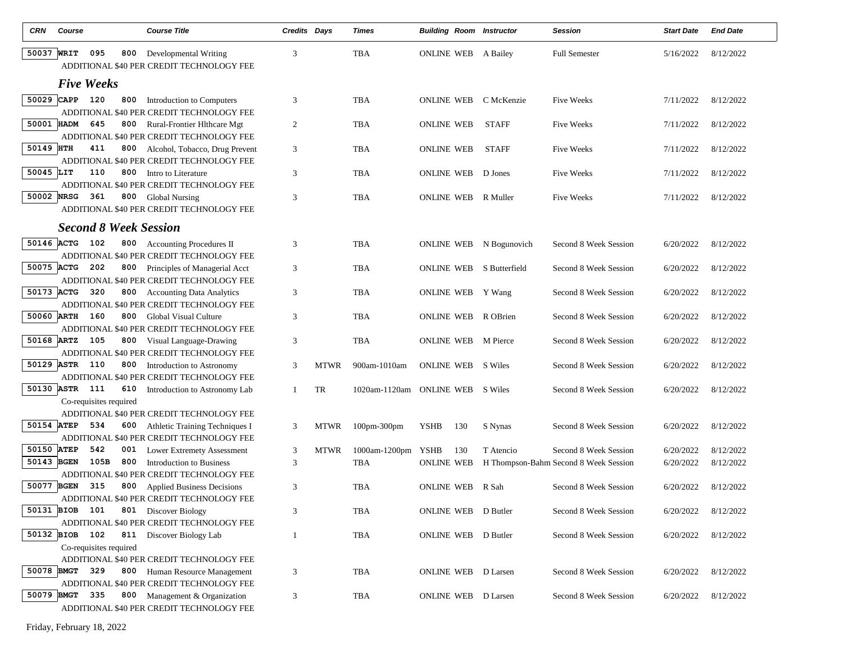| CRN        | Course                                             | <b>Course Title</b>                                                            | Credits Days   |             | <b>Times</b>             | <b>Building Room Instructor</b> |              | <b>Session</b>                        | <b>Start Date</b> | <b>End Date</b> |
|------------|----------------------------------------------------|--------------------------------------------------------------------------------|----------------|-------------|--------------------------|---------------------------------|--------------|---------------------------------------|-------------------|-----------------|
| 50037 WRIT | 095<br>800                                         | Developmental Writing<br>ADDITIONAL \$40 PER CREDIT TECHNOLOGY FEE             | 3              |             | <b>TBA</b>               | <b>ONLINE WEB</b> A Bailey      |              | <b>Full Semester</b>                  | 5/16/2022         | 8/12/2022       |
|            | <b>Five Weeks</b>                                  |                                                                                |                |             |                          |                                 |              |                                       |                   |                 |
|            | 50029 CAPP<br>120<br>800                           | Introduction to Computers<br>ADDITIONAL \$40 PER CREDIT TECHNOLOGY FEE         | 3              |             | <b>TBA</b>               | ONLINE WEB                      | C McKenzie   | <b>Five Weeks</b>                     | 7/11/2022         | 8/12/2022       |
| 50001 HADM | 645<br>800                                         | Rural-Frontier Hlthcare Mgt<br>ADDITIONAL \$40 PER CREDIT TECHNOLOGY FEE       | $\overline{2}$ |             | TBA                      | <b>ONLINE WEB</b>               | <b>STAFF</b> | <b>Five Weeks</b>                     | 7/11/2022         | 8/12/2022       |
| 50149 HTH  | 411<br>800                                         | Alcohol, Tobacco, Drug Prevent<br>ADDITIONAL \$40 PER CREDIT TECHNOLOGY FEE    | 3              |             | TBA                      | <b>ONLINE WEB</b>               | <b>STAFF</b> | <b>Five Weeks</b>                     | 7/11/2022         | 8/12/2022       |
| 50045 LIT  | 110<br>800                                         | Intro to Literature<br>ADDITIONAL \$40 PER CREDIT TECHNOLOGY FEE               | 3              |             | TBA                      | <b>ONLINE WEB</b>               | D Jones      | <b>Five Weeks</b>                     | 7/11/2022         | 8/12/2022       |
| 50002 NRSG | 361                                                | 800 Global Nursing<br>ADDITIONAL \$40 PER CREDIT TECHNOLOGY FEE                | 3              |             | <b>TBA</b>               | ONLINE WEB                      | R Muller     | <b>Five Weeks</b>                     | 7/11/2022         | 8/12/2022       |
|            | <b>Second 8 Week Session</b>                       |                                                                                |                |             |                          |                                 |              |                                       |                   |                 |
| 50146 ACTG | 102                                                | 800 Accounting Procedures II<br>ADDITIONAL \$40 PER CREDIT TECHNOLOGY FEE      | 3              |             | TBA                      | ONLINE WEB N Bogunovich         |              | Second 8 Week Session                 | 6/20/2022         | 8/12/2022       |
| 50075 ACTG | 202<br>800                                         | Principles of Managerial Acct<br>ADDITIONAL \$40 PER CREDIT TECHNOLOGY FEE     | 3              |             | TBA                      | <b>ONLINE WEB</b> S Butterfield |              | Second 8 Week Session                 | 6/20/2022         | 8/12/2022       |
| 50173 ACTG | 320<br>800                                         | <b>Accounting Data Analytics</b><br>ADDITIONAL \$40 PER CREDIT TECHNOLOGY FEE  | 3              |             | <b>TBA</b>               | ONLINE WEB Y Wang               |              | Second 8 Week Session                 | 6/20/2022         | 8/12/2022       |
| 50060 ARTH | 160<br>800                                         | <b>Global Visual Culture</b><br>ADDITIONAL \$40 PER CREDIT TECHNOLOGY FEE      | 3              |             | <b>TBA</b>               | ONLINE WEB                      | R OBrien     | Second 8 Week Session                 | 6/20/2022         | 8/12/2022       |
| 50168 ARTZ | 105<br>800                                         | Visual Language-Drawing<br>ADDITIONAL \$40 PER CREDIT TECHNOLOGY FEE           | 3              |             | TBA                      | <b>ONLINE WEB</b>               | M Pierce     | Second 8 Week Session                 | 6/20/2022         | 8/12/2022       |
| 50129 ASTR | 110<br>800                                         | Introduction to Astronomy<br>ADDITIONAL \$40 PER CREDIT TECHNOLOGY FEE         | 3              | <b>MTWR</b> | 900am-1010am             | <b>ONLINE WEB</b>               | S Wiles      | Second 8 Week Session                 | 6/20/2022         | 8/12/2022       |
|            | 50130 ASTR<br>111<br>610<br>Co-requisites required | Introduction to Astronomy Lab                                                  | 1              | TR          | 1020am-1120am ONLINE WEB |                                 | S Wiles      | Second 8 Week Session                 | 6/20/2022         | 8/12/2022       |
|            |                                                    | ADDITIONAL \$40 PER CREDIT TECHNOLOGY FEE                                      |                |             |                          |                                 |              |                                       |                   |                 |
| 50154 ATEP | 534<br>600                                         | Athletic Training Techniques I<br>ADDITIONAL \$40 PER CREDIT TECHNOLOGY FEE    | 3              | MTWR        | 100pm-300pm              | YSHB<br>130                     | S Nynas      | Second 8 Week Session                 | 6/20/2022         | 8/12/2022       |
| 50150 ATEP | 542<br>001                                         | <b>Lower Extremety Assessment</b>                                              | 3              | <b>MTWR</b> | 1000am-1200pm            | YSHB<br>130                     | T Atencio    | Second 8 Week Session                 | 6/20/2022         | 8/12/2022       |
| 50143 BGEN | 105B<br>800                                        | Introduction to Business                                                       | 3              |             | <b>TBA</b>               | <b>ONLINE WEB</b>               |              | H Thompson-Bahm Second 8 Week Session | 6/20/2022         | 8/12/2022       |
| 50077 BGEN | 315<br>800                                         | ADDITIONAL \$40 PER CREDIT TECHNOLOGY FEE<br><b>Applied Business Decisions</b> | 3              |             | <b>TBA</b>               | <b>ONLINE WEB</b>               | R Sah        | Second 8 Week Session                 | 6/20/2022         | 8/12/2022       |
| 50131 BIOB | 101                                                | ADDITIONAL \$40 PER CREDIT TECHNOLOGY FEE<br>801 Discover Biology              | 3              |             | <b>TBA</b>               | ONLINE WEB D Butler             |              | Second 8 Week Session                 | 6/20/2022         | 8/12/2022       |
|            | 50132 BIOB 102                                     | ADDITIONAL \$40 PER CREDIT TECHNOLOGY FEE<br>811 Discover Biology Lab          | 1              |             | <b>TBA</b>               | ONLINE WEB D Butler             |              | Second 8 Week Session                 | 6/20/2022         | 8/12/2022       |
|            | Co-requisites required                             | ADDITIONAL \$40 PER CREDIT TECHNOLOGY FEE                                      |                |             |                          |                                 |              |                                       |                   |                 |
| 50078 BMGT | 329<br>800                                         | Human Resource Management<br>ADDITIONAL \$40 PER CREDIT TECHNOLOGY FEE         | 3              |             | TBA                      | ONLINE WEB                      | D Larsen     | Second 8 Week Session                 | 6/20/2022         | 8/12/2022       |
| 50079 BMGT | 335                                                | 800 Management & Organization<br>ADDITIONAL \$40 PER CREDIT TECHNOLOGY FEE     | 3              |             | <b>TBA</b>               | ONLINE WEB D Larsen             |              | Second 8 Week Session                 | 6/20/2022         | 8/12/2022       |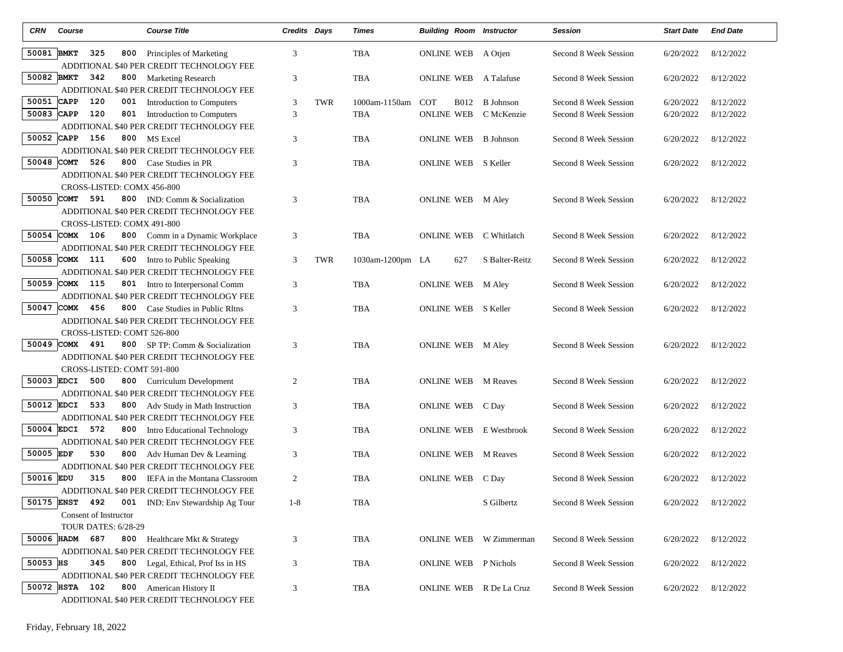| <b>CRN</b> | Course                                       | <b>Course Title</b>                                                           | Credits Days   |     | Times            |                           |             | <b>Building Room Instructor</b> | Session               | <b>Start Date</b>   | <b>End Date</b> |
|------------|----------------------------------------------|-------------------------------------------------------------------------------|----------------|-----|------------------|---------------------------|-------------|---------------------------------|-----------------------|---------------------|-----------------|
| 50081 BMKT | 325<br>800                                   | Principles of Marketing<br>ADDITIONAL \$40 PER CREDIT TECHNOLOGY FEE          | 3              |     | TBA              | <b>ONLINE WEB</b> A Otien |             |                                 | Second 8 Week Session | 6/20/2022           | 8/12/2022       |
| 50082 BMKT | 342                                          | 800 Marketing Research<br>ADDITIONAL \$40 PER CREDIT TECHNOLOGY FEE           | 3              |     | <b>TBA</b>       | <b>ONLINE WEB</b>         |             | A Talafuse                      | Second 8 Week Session | 6/20/2022           | 8/12/2022       |
| 50051      | <b>CAPP</b><br>120<br>001                    | Introduction to Computers                                                     | 3              | TWR | 1000am-1150am    | <b>COT</b>                | <b>B012</b> | <b>B</b> Johnson                | Second 8 Week Session | 6/20/2022           | 8/12/2022       |
| 50083 CAPP | 120<br>801                                   | Introduction to Computers<br>ADDITIONAL \$40 PER CREDIT TECHNOLOGY FEE        | 3              |     | TBA              | <b>ONLINE WEB</b>         |             | C McKenzie                      | Second 8 Week Session | 6/20/2022           | 8/12/2022       |
|            | 50052 CAPP 156                               | 800 MS Excel                                                                  | 3              |     | TBA              | ONLINE WEB                |             | B Johnson                       | Second 8 Week Session | 6/20/2022           | 8/12/2022       |
|            |                                              | ADDITIONAL \$40 PER CREDIT TECHNOLOGY FEE                                     |                |     |                  |                           |             |                                 |                       |                     |                 |
| 50048 COMT | 526                                          | 800 Case Studies in PR                                                        | 3              |     | TBA              |                           |             | <b>ONLINE WEB</b> S Keller      | Second 8 Week Session | 6/20/2022           | 8/12/2022       |
|            |                                              | ADDITIONAL \$40 PER CREDIT TECHNOLOGY FEE                                     |                |     |                  |                           |             |                                 |                       |                     |                 |
| 50050 COMT | CROSS-LISTED: COMX 456-800<br>591            | <b>800</b> IND: Comm & Socialization                                          | 3              |     | TBA              | ONLINE WEB M Aley         |             |                                 | Second 8 Week Session | 6/20/2022           | 8/12/2022       |
|            |                                              | ADDITIONAL \$40 PER CREDIT TECHNOLOGY FEE                                     |                |     |                  |                           |             |                                 |                       |                     |                 |
|            | CROSS-LISTED: COMX 491-800                   |                                                                               |                |     |                  |                           |             |                                 |                       |                     |                 |
|            | 50054 COMX 106                               | 800 Comm in a Dynamic Workplace                                               | 3              |     | TBA              | ONLINE WEB                |             | C Whitlatch                     | Second 8 Week Session | 6/20/2022           | 8/12/2022       |
|            |                                              | ADDITIONAL \$40 PER CREDIT TECHNOLOGY FEE                                     |                |     |                  |                           |             |                                 |                       |                     |                 |
|            | 50058 COMX 111                               | 600 Intro to Public Speaking                                                  | 3              | TWR | 1030am-1200pm LA |                           | 627         | S Balter-Reitz                  | Second 8 Week Session | 6/20/2022           | 8/12/2022       |
|            |                                              | ADDITIONAL \$40 PER CREDIT TECHNOLOGY FEE                                     |                |     |                  |                           |             |                                 |                       |                     |                 |
|            | 50059 COMX 115                               | 801 Intro to Interpersonal Comm<br>ADDITIONAL \$40 PER CREDIT TECHNOLOGY FEE  | 3              |     | TBA              | ONLINE WEB M Aley         |             |                                 | Second 8 Week Session | 6/20/2022           | 8/12/2022       |
| 50047      | COMX 456                                     | <b>800</b> Case Studies in Public Rltns                                       | 3              |     | <b>TBA</b>       |                           |             | ONLINE WEB S Keller             | Second 8 Week Session | 6/20/2022           | 8/12/2022       |
|            |                                              | ADDITIONAL \$40 PER CREDIT TECHNOLOGY FEE                                     |                |     |                  |                           |             |                                 |                       |                     |                 |
|            | CROSS-LISTED: COMT 526-800                   |                                                                               |                |     |                  |                           |             |                                 |                       |                     |                 |
|            | 50049 COMX 491                               | <b>800</b> SP TP: Comm & Socialization                                        | 3              |     | TBA              | ONLINE WEB M Aley         |             |                                 | Second 8 Week Session | 6/20/2022           | 8/12/2022       |
|            |                                              | ADDITIONAL \$40 PER CREDIT TECHNOLOGY FEE                                     |                |     |                  |                           |             |                                 |                       |                     |                 |
|            | CROSS-LISTED: COMT 591-800                   |                                                                               |                |     |                  |                           |             |                                 |                       |                     |                 |
|            | 50003 EDCI<br>500                            | 800 Curriculum Development                                                    | $\overline{2}$ |     | TBA              | <b>ONLINE WEB</b>         |             | <b>M</b> Reaves                 | Second 8 Week Session | 6/20/2022           | 8/12/2022       |
|            |                                              | ADDITIONAL \$40 PER CREDIT TECHNOLOGY FEE                                     |                |     |                  |                           |             |                                 |                       |                     |                 |
| 50012 EDCI | 533                                          | 800 Adv Study in Math Instruction                                             | 3              |     | TBA              | ONLINE WEB C Day          |             |                                 | Second 8 Week Session | 6/20/2022           | 8/12/2022       |
|            | 50004 EDCI 572                               | ADDITIONAL \$40 PER CREDIT TECHNOLOGY FEE<br>800 Intro Educational Technology | 3              |     | TBA              | <b>ONLINE WEB</b>         |             | E Westbrook                     | Second 8 Week Session | 6/20/2022           | 8/12/2022       |
|            |                                              | ADDITIONAL \$40 PER CREDIT TECHNOLOGY FEE                                     |                |     |                  |                           |             |                                 |                       |                     |                 |
| 50005 EDF  | 530                                          | 800 Adv Human Dev & Learning                                                  | 3              |     | TBA              | ONLINE WEB                |             | <b>M</b> Reaves                 | Second 8 Week Session | 6/20/2022           | 8/12/2022       |
|            |                                              | ADDITIONAL \$40 PER CREDIT TECHNOLOGY FEE                                     |                |     |                  |                           |             |                                 |                       |                     |                 |
| 50016 EDU  | 315<br>800                                   | IEFA in the Montana Classroom                                                 | 2              |     | TBA              | ONLINE WEB C Day          |             |                                 | Second 8 Week Session | 6/20/2022           | 8/12/2022       |
|            |                                              | ADDITIONAL \$40 PER CREDIT TECHNOLOGY FEE                                     |                |     |                  |                           |             |                                 |                       |                     |                 |
|            |                                              | 50175 ENST 492 001 IND: Env Stewardship Ag Tour                               | $1 - 8$        |     | TBA              |                           |             | S Gilbertz                      | Second 8 Week Session | 6/20/2022 8/12/2022 |                 |
|            | Consent of Instructor<br>TOUR DATES: 6/28-29 |                                                                               |                |     |                  |                           |             |                                 |                       |                     |                 |
|            | 50006 HADM 687                               | 800 Healthcare Mkt & Strategy                                                 | $\sqrt{3}$     |     | TBA              |                           |             | ONLINE WEB W Zimmerman          | Second 8 Week Session | 6/20/2022           | 8/12/2022       |
|            |                                              | ADDITIONAL \$40 PER CREDIT TECHNOLOGY FEE                                     |                |     |                  |                           |             |                                 |                       |                     |                 |
| 50053 HS   | 345                                          | 800 Legal, Ethical, Prof Iss in HS                                            | 3              |     | TBA              |                           |             | <b>ONLINE WEB</b> P Nichols     | Second 8 Week Session | 6/20/2022           | 8/12/2022       |
|            |                                              | ADDITIONAL \$40 PER CREDIT TECHNOLOGY FEE                                     |                |     |                  |                           |             |                                 |                       |                     |                 |
|            | 50072 HSTA<br>102                            | 800 American History II                                                       | 3              |     | TBA              |                           |             | ONLINE WEB R De La Cruz         | Second 8 Week Session | 6/20/2022           | 8/12/2022       |
|            |                                              | ADDITIONAL \$40 PER CREDIT TECHNOLOGY FEE                                     |                |     |                  |                           |             |                                 |                       |                     |                 |